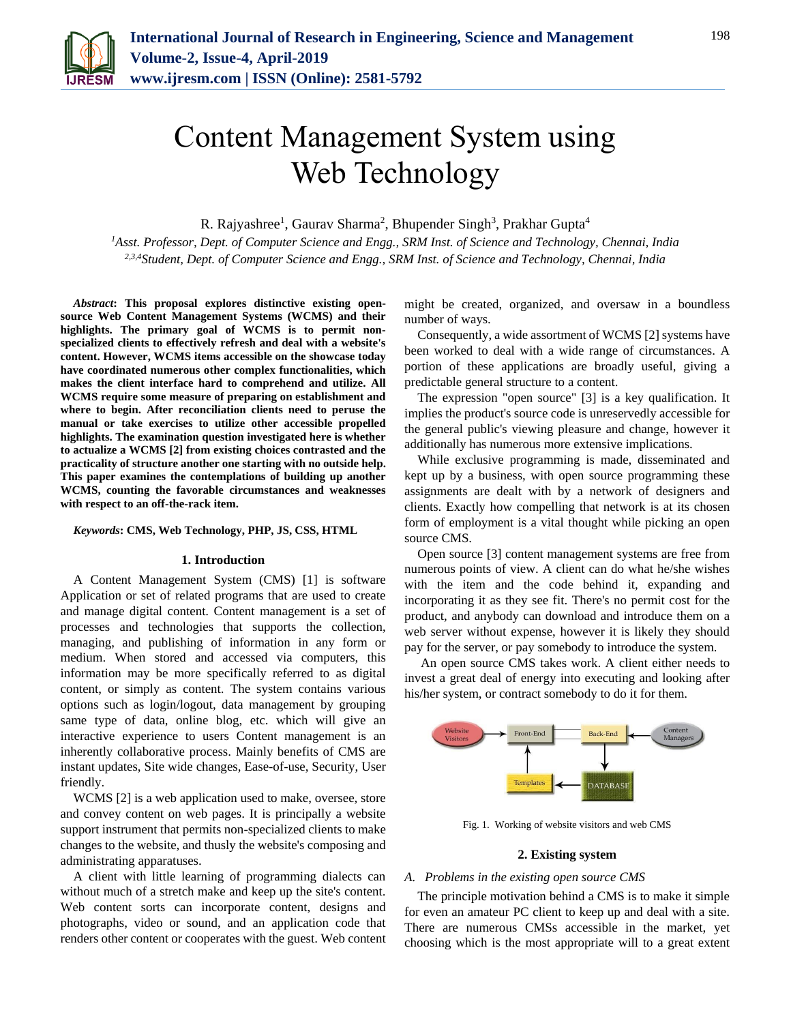

# Content Management System using Web Technology

R. Rajyashree<sup>1</sup>, Gaurav Sharma<sup>2</sup>, Bhupender Singh<sup>3</sup>, Prakhar Gupta<sup>4</sup>

*<sup>1</sup>Asst. Professor, Dept. of Computer Science and Engg., SRM Inst. of Science and Technology, Chennai, India 2,3,4Student, Dept. of Computer Science and Engg., SRM Inst. of Science and Technology, Chennai, India*

*Abstract***: This proposal explores distinctive existing opensource Web Content Management Systems (WCMS) and their highlights. The primary goal of WCMS is to permit nonspecialized clients to effectively refresh and deal with a website's content. However, WCMS items accessible on the showcase today have coordinated numerous other complex functionalities, which makes the client interface hard to comprehend and utilize. All WCMS require some measure of preparing on establishment and where to begin. After reconciliation clients need to peruse the manual or take exercises to utilize other accessible propelled highlights. The examination question investigated here is whether to actualize a WCMS [2] from existing choices contrasted and the practicality of structure another one starting with no outside help. This paper examines the contemplations of building up another WCMS, counting the favorable circumstances and weaknesses with respect to an off-the-rack item.**

#### *Keywords***: CMS, Web Technology, PHP, JS, CSS, HTML**

# **1. Introduction**

A Content Management System (CMS) [1] is software Application or set of related programs that are used to create and manage digital content. Content management is a set of processes and technologies that supports the collection, managing, and publishing of information in any form or medium. When stored and accessed via computers, this information may be more specifically referred to as digital content, or simply as content. The system contains various options such as login/logout, data management by grouping same type of data, online blog, etc. which will give an interactive experience to users Content management is an inherently collaborative process. Mainly benefits of CMS are instant updates, Site wide changes, Ease-of-use, Security, User friendly.

WCMS [2] is a web application used to make, oversee, store and convey content on web pages. It is principally a website support instrument that permits non-specialized clients to make changes to the website, and thusly the website's composing and administrating apparatuses.

A client with little learning of programming dialects can without much of a stretch make and keep up the site's content. Web content sorts can incorporate content, designs and photographs, video or sound, and an application code that renders other content or cooperates with the guest. Web content might be created, organized, and oversaw in a boundless number of ways.

Consequently, a wide assortment of WCMS [2] systems have been worked to deal with a wide range of circumstances. A portion of these applications are broadly useful, giving a predictable general structure to a content.

The expression "open source" [3] is a key qualification. It implies the product's source code is unreservedly accessible for the general public's viewing pleasure and change, however it additionally has numerous more extensive implications.

While exclusive programming is made, disseminated and kept up by a business, with open source programming these assignments are dealt with by a network of designers and clients. Exactly how compelling that network is at its chosen form of employment is a vital thought while picking an open source CMS.

Open source [3] content management systems are free from numerous points of view. A client can do what he/she wishes with the item and the code behind it, expanding and incorporating it as they see fit. There's no permit cost for the product, and anybody can download and introduce them on a web server without expense, however it is likely they should pay for the server, or pay somebody to introduce the system.

An open source CMS takes work. A client either needs to invest a great deal of energy into executing and looking after his/her system, or contract somebody to do it for them.



Fig. 1. Working of website visitors and web CMS

#### **2. Existing system**

#### *A. Problems in the existing open source CMS*

The principle motivation behind a CMS is to make it simple for even an amateur PC client to keep up and deal with a site. There are numerous CMSs accessible in the market, yet choosing which is the most appropriate will to a great extent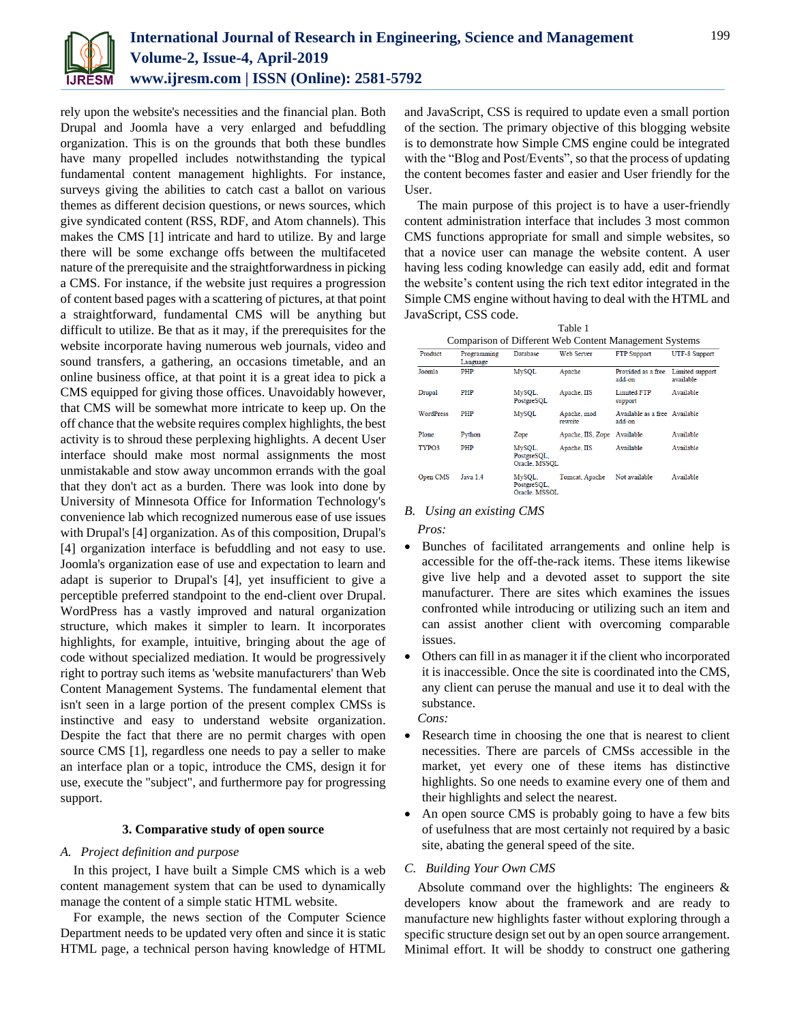

rely upon the website's necessities and the financial plan. Both Drupal and Joomla have a very enlarged and befuddling organization. This is on the grounds that both these bundles have many propelled includes notwithstanding the typical fundamental content management highlights. For instance, surveys giving the abilities to catch cast a ballot on various themes as different decision questions, or news sources, which give syndicated content (RSS, RDF, and Atom channels). This makes the CMS [1] intricate and hard to utilize. By and large there will be some exchange offs between the multifaceted nature of the prerequisite and the straightforwardness in picking a CMS. For instance, if the website just requires a progression of content based pages with a scattering of pictures, at that point a straightforward, fundamental CMS will be anything but difficult to utilize. Be that as it may, if the prerequisites for the website incorporate having numerous web journals, video and sound transfers, a gathering, an occasions timetable, and an online business office, at that point it is a great idea to pick a CMS equipped for giving those offices. Unavoidably however, that CMS will be somewhat more intricate to keep up. On the off chance that the website requires complex highlights, the best activity is to shroud these perplexing highlights. A decent User interface should make most normal assignments the most unmistakable and stow away uncommon errands with the goal that they don't act as a burden. There was look into done by University of Minnesota Office for Information Technology's convenience lab which recognized numerous ease of use issues with Drupal's [4] organization. As of this composition, Drupal's [4] organization interface is befuddling and not easy to use. Joomla's organization ease of use and expectation to learn and adapt is superior to Drupal's [4], yet insufficient to give a perceptible preferred standpoint to the end-client over Drupal. WordPress has a vastly improved and natural organization structure, which makes it simpler to learn. It incorporates highlights, for example, intuitive, bringing about the age of code without specialized mediation. It would be progressively right to portray such items as 'website manufacturers' than Web Content Management Systems. The fundamental element that isn't seen in a large portion of the present complex CMSs is instinctive and easy to understand website organization. Despite the fact that there are no permit charges with open source CMS [1], regardless one needs to pay a seller to make an interface plan or a topic, introduce the CMS, design it for use, execute the "subject", and furthermore pay for progressing support.

#### **3. Comparative study of open source**

### *A. Project definition and purpose*

In this project, I have built a Simple CMS which is a web content management system that can be used to dynamically manage the content of a simple static HTML website.

For example, the news section of the Computer Science Department needs to be updated very often and since it is static HTML page, a technical person having knowledge of HTML

and JavaScript, CSS is required to update even a small portion of the section. The primary objective of this blogging website is to demonstrate how Simple CMS engine could be integrated with the "Blog and Post/Events", so that the process of updating the content becomes faster and easier and User friendly for the User.

The main purpose of this project is to have a user-friendly content administration interface that includes 3 most common CMS functions appropriate for small and simple websites, so that a novice user can manage the website content. A user having less coding knowledge can easily add, edit and format the website's content using the rich text editor integrated in the Simple CMS engine without having to deal with the HTML and JavaScript, CSS code.

| Table 1                                                |  |
|--------------------------------------------------------|--|
| Comparison of Different Web Content Management Systems |  |

| Comparison or Diriciting web Comein Management Dystems |                         |                                        |                        |                                         |                              |  |  |
|--------------------------------------------------------|-------------------------|----------------------------------------|------------------------|-----------------------------------------|------------------------------|--|--|
| Product                                                | Programming<br>Language | <b>Database</b>                        | Web Server             | <b>FTP</b> Support                      | UTF-8 Support                |  |  |
| Joomla                                                 | PHP                     | <b>MySQL</b>                           | Apache                 | Provided as a free<br>add-on            | Limited support<br>available |  |  |
| <b>Drupal</b>                                          | PHP                     | MySQL.<br>PostgreSOL                   | Apache, IIS            | <b>Limited FTP</b><br>support           | Available                    |  |  |
| <b>WordPress</b>                                       | PHP                     | <b>MvSOL</b>                           | Apache, mod<br>rewrite | Available as a free Available<br>add-on |                              |  |  |
| Plone                                                  | Python                  | Zope                                   | Apache, IIS, Zope      | Available                               | Available                    |  |  |
| TYPO3                                                  | PHP                     | MySQL.<br>PostgreSOL.<br>Oracle, MSSQL | Apache, IIS            | Available                               | Available                    |  |  |
| Open CMS                                               | Java 1.4                | MySQL.<br>PostgreSOL.<br>Oracle MSSOI  | Tomcat, Apache         | Not available                           | Available                    |  |  |

#### *B. Using an existing CMS*

*Pros:*

- Bunches of facilitated arrangements and online help is accessible for the off-the-rack items. These items likewise give live help and a devoted asset to support the site manufacturer. There are sites which examines the issues confronted while introducing or utilizing such an item and can assist another client with overcoming comparable issues.
- Others can fill in as manager it if the client who incorporated it is inaccessible. Once the site is coordinated into the CMS, any client can peruse the manual and use it to deal with the substance. *Cons:*
- Research time in choosing the one that is nearest to client necessities. There are parcels of CMSs accessible in the market, yet every one of these items has distinctive highlights. So one needs to examine every one of them and their highlights and select the nearest.
- An open source CMS is probably going to have a few bits of usefulness that are most certainly not required by a basic site, abating the general speed of the site.

## *C. Building Your Own CMS*

Absolute command over the highlights: The engineers & developers know about the framework and are ready to manufacture new highlights faster without exploring through a specific structure design set out by an open source arrangement. Minimal effort. It will be shoddy to construct one gathering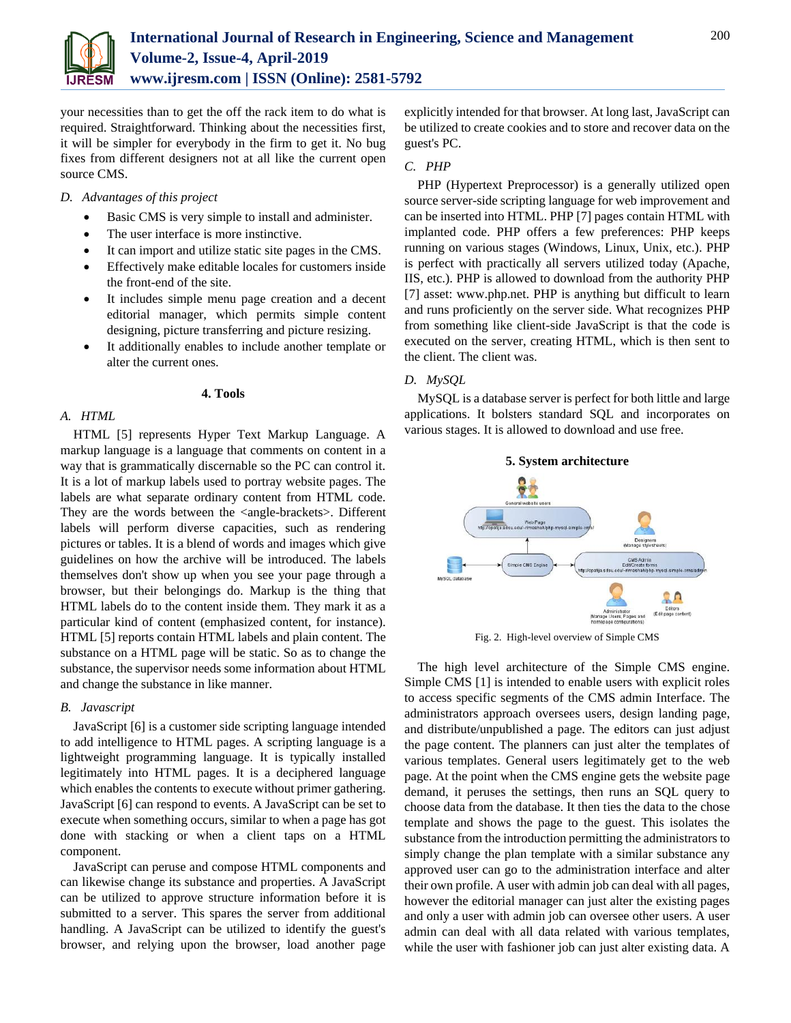

your necessities than to get the off the rack item to do what is required. Straightforward. Thinking about the necessities first, it will be simpler for everybody in the firm to get it. No bug fixes from different designers not at all like the current open source CMS.

## *D. Advantages of this project*

- Basic CMS is very simple to install and administer.
- The user interface is more instinctive.
- It can import and utilize static site pages in the CMS.
- Effectively make editable locales for customers inside the front-end of the site.
- It includes simple menu page creation and a decent editorial manager, which permits simple content designing, picture transferring and picture resizing.
- It additionally enables to include another template or alter the current ones.

### **4. Tools**

# *A. HTML*

HTML [5] represents Hyper Text Markup Language. A markup language is a language that comments on content in a way that is grammatically discernable so the PC can control it. It is a lot of markup labels used to portray website pages. The labels are what separate ordinary content from HTML code. They are the words between the <angle-brackets>. Different labels will perform diverse capacities, such as rendering pictures or tables. It is a blend of words and images which give guidelines on how the archive will be introduced. The labels themselves don't show up when you see your page through a browser, but their belongings do. Markup is the thing that HTML labels do to the content inside them. They mark it as a particular kind of content (emphasized content, for instance). HTML [5] reports contain HTML labels and plain content. The substance on a HTML page will be static. So as to change the substance, the supervisor needs some information about HTML and change the substance in like manner.

## *B. Javascript*

JavaScript [6] is a customer side scripting language intended to add intelligence to HTML pages. A scripting language is a lightweight programming language. It is typically installed legitimately into HTML pages. It is a deciphered language which enables the contents to execute without primer gathering. JavaScript [6] can respond to events. A JavaScript can be set to execute when something occurs, similar to when a page has got done with stacking or when a client taps on a HTML component.

JavaScript can peruse and compose HTML components and can likewise change its substance and properties. A JavaScript can be utilized to approve structure information before it is submitted to a server. This spares the server from additional handling. A JavaScript can be utilized to identify the guest's browser, and relying upon the browser, load another page

explicitly intended for that browser. At long last, JavaScript can be utilized to create cookies and to store and recover data on the guest's PC.

# *C. PHP*

PHP (Hypertext Preprocessor) is a generally utilized open source server-side scripting language for web improvement and can be inserted into HTML. PHP [7] pages contain HTML with implanted code. PHP offers a few preferences: PHP keeps running on various stages (Windows, Linux, Unix, etc.). PHP is perfect with practically all servers utilized today (Apache, IIS, etc.). PHP is allowed to download from the authority PHP [7] asset: www.php.net. PHP is anything but difficult to learn and runs proficiently on the server side. What recognizes PHP from something like client-side JavaScript is that the code is executed on the server, creating HTML, which is then sent to the client. The client was.

# *D. MySQL*

MySQL is a database server is perfect for both little and large applications. It bolsters standard SQL and incorporates on various stages. It is allowed to download and use free.



Fig. 2. High-level overview of Simple CMS

The high level architecture of the Simple CMS engine. Simple CMS [1] is intended to enable users with explicit roles to access specific segments of the CMS admin Interface. The administrators approach oversees users, design landing page, and distribute/unpublished a page. The editors can just adjust the page content. The planners can just alter the templates of various templates. General users legitimately get to the web page. At the point when the CMS engine gets the website page demand, it peruses the settings, then runs an SQL query to choose data from the database. It then ties the data to the chose template and shows the page to the guest. This isolates the substance from the introduction permitting the administrators to simply change the plan template with a similar substance any approved user can go to the administration interface and alter their own profile. A user with admin job can deal with all pages, however the editorial manager can just alter the existing pages and only a user with admin job can oversee other users. A user admin can deal with all data related with various templates, while the user with fashioner job can just alter existing data. A